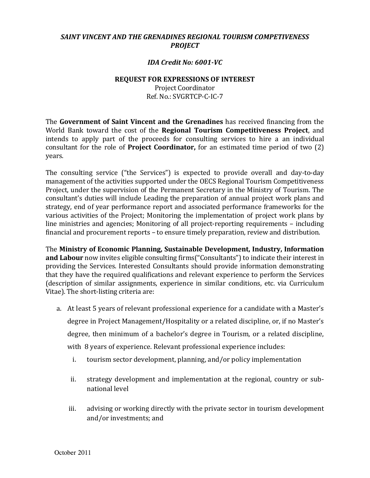## *SAINT VINCENT AND THE GRENADINES REGIONAL TOURISM COMPETIVENESS PROJECT*

## *IDA Credit No: 6001-VC*

## **REQUEST FOR EXPRESSIONS OF INTEREST**

Project Coordinator Ref. No.: SVGRTCP-C-IC-7

The **Government of Saint Vincent and the Grenadines** has received financing from the World Bank toward the cost of the **Regional Tourism Competitiveness Project**, and intends to apply part of the proceeds for consulting services to hire a an individual consultant for the role of **Project Coordinator,** for an estimated time period of two (2) years.

The consulting service ("the Services") is expected to provide overall and day-to-day management of the activities supported under the OECS Regional Tourism Competitiveness Project, under the supervision of the Permanent Secretary in the Ministry of Tourism. The consultant's duties will include Leading the preparation of annual project work plans and strategy, end of year performance report and associated performance frameworks for the various activities of the Project; Monitoring the implementation of project work plans by line ministries and agencies; Monitoring of all project-reporting requirements – including financial and procurement reports – to ensure timely preparation, review and distribution.

The **Ministry of Economic Planning, Sustainable Development, Industry, Information and Labour** now invites eligible consulting firms("Consultants") to indicate their interest in providing the Services. Interested Consultants should provide information demonstrating that they have the required qualifications and relevant experience to perform the Services (description of similar assignments, experience in similar conditions, etc. via Curriculum Vitae). The short-listing criteria are:

- a. At least 5 years of relevant professional experience for a candidate with a Master's degree in Project Management/Hospitality or a related discipline, or, if no Master's degree, then minimum of a bachelor's degree in Tourism, or a related discipline, with 8 years of experience. Relevant professional experience includes:
	- i. tourism sector development, planning, and/or policy implementation
	- ii. strategy development and implementation at the regional, country or subnational level
	- iii. advising or working directly with the private sector in tourism development and/or investments; and